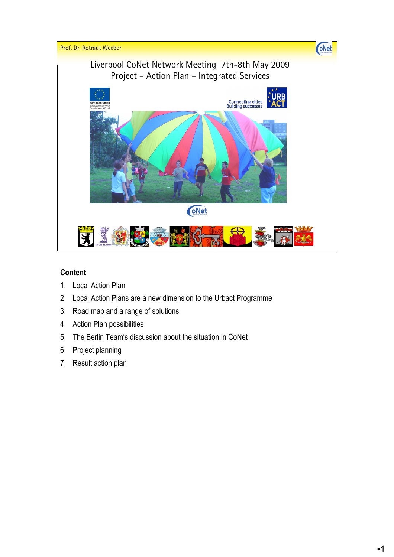

### **Content**

- 1. Local Action Plan
- 2. Local Action Plans are a new dimension to the Urbact Programme
- 3. Road map and a range of solutions
- 4. Action Plan possibilities
- 5. The Berlin Team's discussion about the situation in CoNet
- 6. Project planning
- 7. Result action plan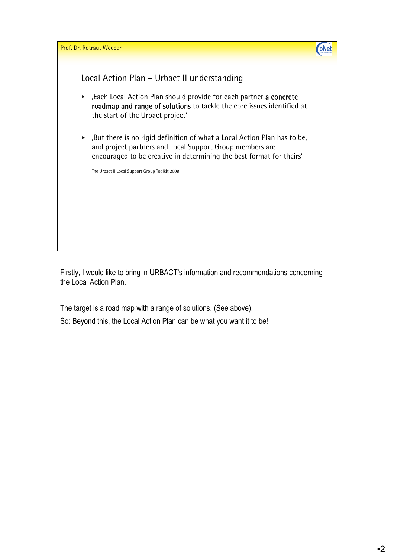

Firstly, I would like to bring in URBACT's information and recommendations concerning the Local Action Plan.

The target is a road map with a range of solutions. (See above). So: Beyond this, the Local Action Plan can be what you want it to be!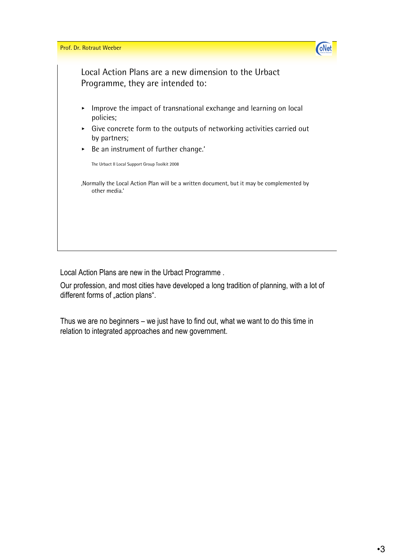



Local Action Plans are a new dimension to the Urbact Programme, they are intended to:

- $\blacksquare$  Improve the impact of transnational exchange and learning on local policies;
- $\triangleright$  Give concrete form to the outputs of networking activities carried out by partners;
- ¬ Be an instrument of further change.'

The Urbact II Local Support Group Toolkit 2008

'Normally the Local Action Plan will be a written document, but it may be complemented by other media.'

Local Action Plans are new in the Urbact Programme .

Our profession, and most cities have developed a long tradition of planning, with a lot of different forms of "action plans".

Thus we are no beginners – we just have to find out, what we want to do this time in relation to integrated approaches and new government.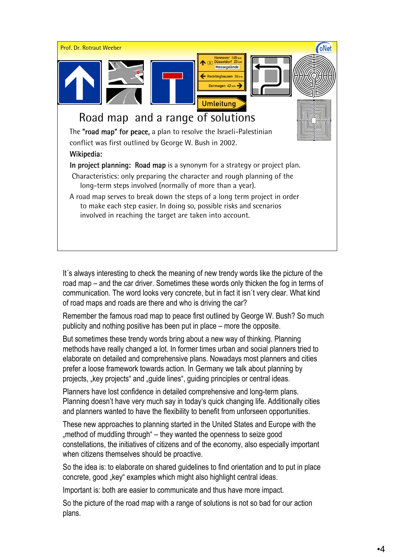

It´s always interesting to check the meaning of new trendy words like the picture of the road map – and the car driver. Sometimes these words only thicken the fog in terms of communication. The word looks very concrete, but in fact it isn´t very clear. What kind of road maps and roads are there and who is driving the car?

Remember the famous road map to peace first outlined by George W. Bush? So much publicity and nothing positive has been put in place – more the opposite.

But sometimes these trendy words bring about a new way of thinking. Planning methods have really changed a lot. In former times urban and social planners tried to elaborate on detailed and comprehensive plans. Nowadays most planners and cities prefer a loose framework towards action. In Germany we talk about planning by projects, "key projects" and "guide lines", guiding principles or central ideas.

Planners have lost confidence in detailed comprehensive and long-term plans. Planning doesn't have very much say in today's quick changing life. Additionally cities and planners wanted to have the flexibility to benefit from unforseen opportunities.

These new approaches to planning started in the United States and Europe with the ", method of muddling through" – they wanted the openness to seize good constellations, the initiatives of citizens and of the economy, also especially important when citizens themselves should be proactive.

So the idea is: to elaborate on shared guidelines to find orientation and to put in place concrete, good "key" examples which might also highlight central ideas.

Important is: both are easier to communicate and thus have more impact.

So the picture of the road map with a range of solutions is not so bad for our action plans.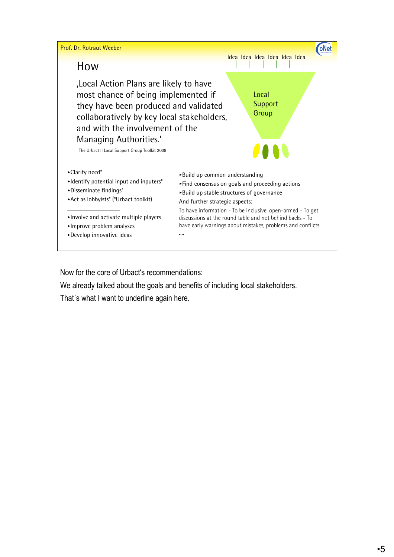

Now for the core of Urbact's recommendations:

We already talked about the goals and benefits of including local stakeholders.

That´s what I want to underline again here.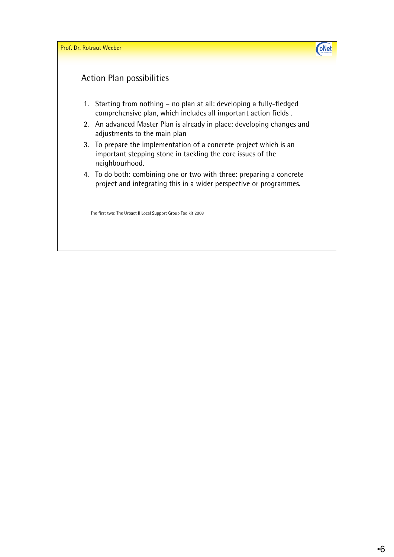

#### Action Plan possibilities

- 1. Starting from nothing no plan at all: developing a fully-fledged comprehensive plan, which includes all important action fields .
- 2. An advanced Master Plan is already in place: developing changes and adjustments to the main plan
- 3. To prepare the implementation of a concrete project which is an important stepping stone in tackling the core issues of the neighbourhood.
- 4. To do both: combining one or two with three: preparing a concrete project and integrating this in a wider perspective or programmes.

The first two: The Urbact II Local Support Group Toolkit 2008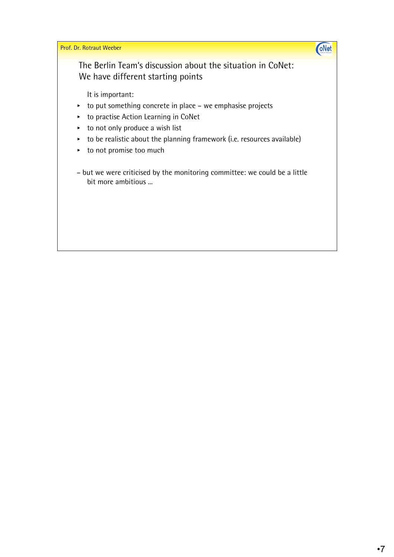Prof. Dr. Rotraut Weeber **Hierarch American Community Community** 



The Berlin Team's discussion about the situation in CoNet: We have different starting points

It is important:

- $\rightarrow$  to put something concrete in place we emphasise projects
- ¬ to practise Action Learning in CoNet
- $\rightarrow$  to not only produce a wish list
- $\rightarrow$  to be realistic about the planning framework (i.e. resources available)
- $\rightarrow$  to not promise too much
- but we were criticised by the monitoring committee: we could be a little bit more ambitious ...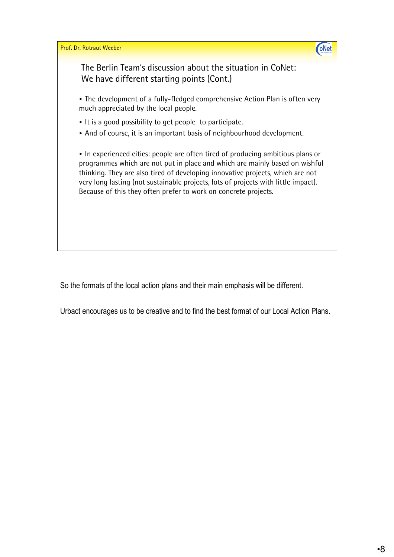

So the formats of the local action plans and their main emphasis will be different.

Urbact encourages us to be creative and to find the best format of our Local Action Plans.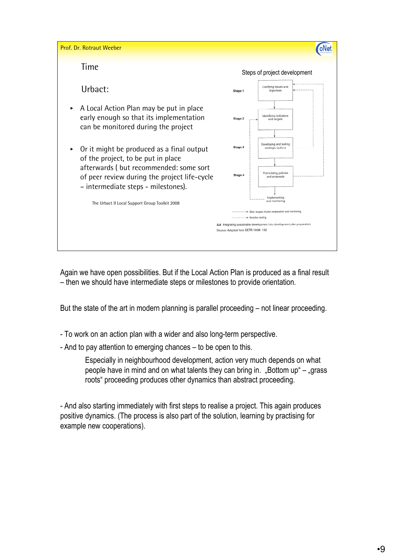

Again we have open possibilities. But if the Local Action Plan is produced as a final result – then we should have intermediate steps or milestones to provide orientation.

But the state of the art in modern planning is parallel proceeding – not linear proceeding.

- To work on an action plan with a wider and also long-term perspective.
- And to pay attention to emerging chances to be open to this.

Especially in neighbourhood development, action very much depends on what people have in mind and on what talents they can bring in. "Bottom  $up^*$  – "grass roots" proceeding produces other dynamics than abstract proceeding.

- And also starting immediately with first steps to realise a project. This again produces positive dynamics. (The process is also part of the solution, learning by practising for example new cooperations).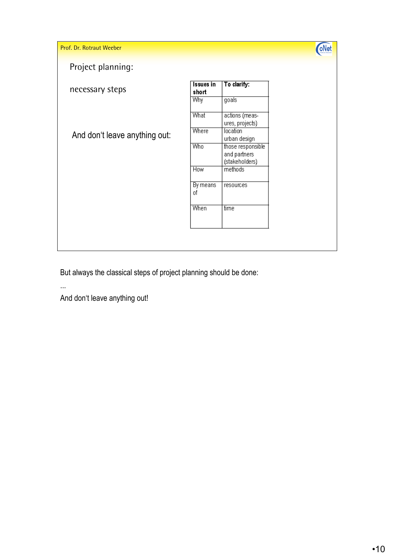



# Project planning:

| necessary steps               | <b>Issues in</b><br>short | To clarify:                                         |
|-------------------------------|---------------------------|-----------------------------------------------------|
|                               | <b>Why</b>                | goals                                               |
|                               | What                      | actions (meas-<br>ures, projects)                   |
| And don't leave anything out: | Where                     | location<br>urban design                            |
|                               | Who                       | those responsible<br>and partners<br>(stakeholders) |
|                               | How                       | methods                                             |
|                               | By means<br>οf            | resources                                           |
|                               | When                      | time                                                |
|                               |                           |                                                     |
|                               |                           |                                                     |

But always the classical steps of project planning should be done:

...

And don't leave anything out!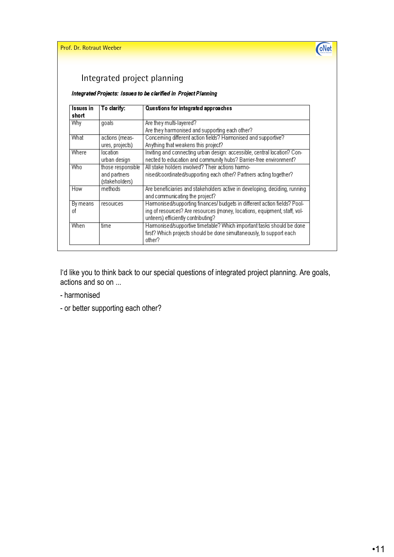Prof. Dr. Rotraut Weeber Hierarch American Communication of the Communication of the Communication of the Comm



# Integrated project planning

Integrated Projects: Issues to be clarified in Project Planning

| Issues in  | To clarify:       | Questions for integrated approaches                                                                                                                     |  |
|------------|-------------------|---------------------------------------------------------------------------------------------------------------------------------------------------------|--|
| short      |                   |                                                                                                                                                         |  |
| <b>Why</b> | goals             | Are they multi-layered?                                                                                                                                 |  |
|            |                   | Are they harmonised and supporting each other?                                                                                                          |  |
| What       | actions (meas-    | Concerning different action fields? Harmonised and supportive?                                                                                          |  |
|            | ures, projects)   | Anything that weakens this project?                                                                                                                     |  |
| Where      | location.         | Inviting and connecting urban design: accessible, central location? Con-                                                                                |  |
|            | urban design      | nected to education and community hubs? Barrier-free environment?                                                                                       |  |
| Who        | those responsible | All stake holders involved? Their actions harmo-                                                                                                        |  |
|            | and partners      | nised/coordinated/supporting each other? Partners acting together?                                                                                      |  |
|            | (stakeholders)    |                                                                                                                                                         |  |
| How        | methods           | Are beneficiaries and stakeholders active in developing, deciding, running<br>and communicating the project?                                            |  |
| By means   | resources         | Harmonised/supporting finances/ budgets in different action fields? Pool-                                                                               |  |
| nf         |                   | ing of resources? Are resources (money, locations, equipment, staff, vol-<br>unteers) efficiently contributing?                                         |  |
| When       | time              | Harmonised/supportive timetable? Which important tasks should be done<br>first? Which projects should be done simultaneously, to support each<br>other? |  |

I'd like you to think back to our special questions of integrated project planning. Are goals, actions and so on ...

- harmonised
- or better supporting each other?